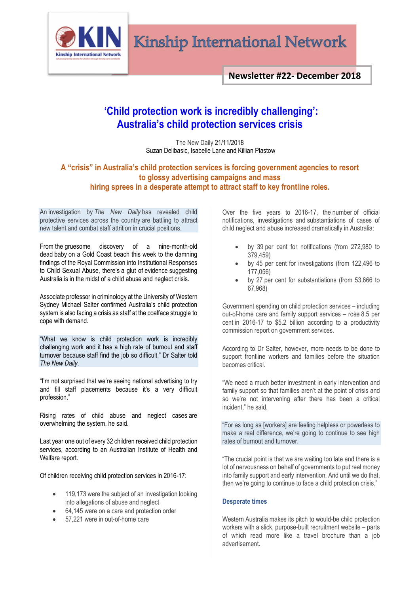

# Kinship International Network

**Newsletter #22- December 2018**

# **'Child protection work is incredibly challenging': Australia's child protection services crisis**

The New Daily 21/11/2018 [Suzan Delibasic, Isabelle Lane and Killian Plastow](https://thenewdaily.com.au/author/sdilkp/)

## **A "crisis" in Australia's child protection services is forcing government agencies to resort to glossy advertising campaigns and mass hiring sprees in a desperate attempt to attract staff to key frontline roles.**

An investigation by *The New Daily* has revealed child protective services across the country are battling to attract new talent and combat staff attrition in crucial positions.

From the gruesome discovery of a [nine-month-old](https://thenewdaily.com.au/news/state/qld/2018/11/21/baby-died-nsw-police/)  [dead](https://thenewdaily.com.au/news/state/qld/2018/11/21/baby-died-nsw-police/) baby on a Gold Coast beach this week to the damning findings of the [Royal Commission into Institutional Responses](https://thenewdaily.com.au/news/national/2018/10/22/advocate-chrissie-foster-speech/)  [to Child Sexual Abuse,](https://thenewdaily.com.au/news/national/2018/10/22/advocate-chrissie-foster-speech/) there's a glut of evidence suggesting Australia is in the midst of a child abuse and neglect crisis.

Associate professor in criminology at the University of Western Sydney Michael Salter confirmed Australia's child protection system is also facing a crisis as staff at the coalface struggle to cope with demand.

"What we know is child protection work is incredibly challenging work and it has a high rate of burnout and staff turnover because staff find the job so difficult," Dr Salter told *The New Daily*.

"I'm not surprised that we're seeing national advertising to try and fill staff placements because it's a very difficult profession."

Rising rates of child abuse and neglect cases are overwhelming the system, he said.

Last year one out of every 32 children received child protection services, according to an Australian Institute of Health and Welfare [report.](https://www.aihw.gov.au/reports/child-protection/child-protection-australia-2016-17/contents/table-of-contents-print-report)

Of children receiving child protection services in 2016-17:

- 119,173 were the subject of an investigation looking into allegations of abuse and neglect
- 64,145 were on a care and protection order
- 57,221 were in out-of-home care

Over the five years to 2016-17, the number of official notifications, investigations and substantiations of cases of child neglect and abuse increased dramatically in Australia:

- by 39 per cent for notifications (from 272,980 to 379,459)
- by 45 per cent for investigations (from 122,496 to 177,056)
- by 27 per cent for substantiations (from 53,666 to 67,968)

Government spending on child protection services – including out-of-home care and family support services – rose 8.5 per cent in 2016-17 to \$5.2 billion according to a productivity commission report on government services.

According to Dr Salter, however, more needs to be done to support frontline workers and families before the situation becomes critical.

"We need a much better investment in early intervention and family support so that families aren't at the point of crisis and so we're not intervening after there has been a critical incident," he said.

"For as long as [workers] are feeling helpless or powerless to make a real difference, we're going to continue to see high rates of burnout and turnover.

"The crucial point is that we are waiting too late and there is a lot of nervousness on behalf of governments to put real money into family support and early intervention. And until we do that, then we're going to continue to face a child protection crisis."

### **Desperate times**

Western Australia makes its pitch to would-be child protection workers with a slick, purpose-built recruitment website – parts of which read more like a travel brochure than a job advertisement.